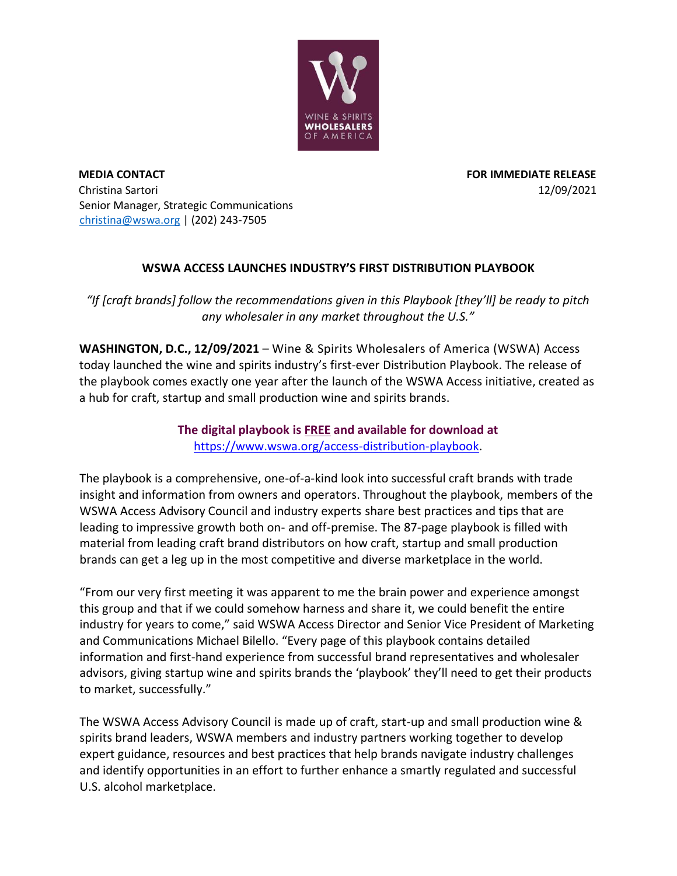

**MEDIA CONTACT FOR IMMEDIATE RELEASE**  Christina Sartori 12/09/2021 Senior Manager, Strategic Communications christina@wswa.org | (202) 243-7505

## **WSWA ACCESS LAUNCHES INDUSTRY'S FIRST DISTRIBUTION PLAYBOOK**

*"If [craft brands] follow the recommendations given in this Playbook [they'll] be ready to pitch any wholesaler in any market throughout the U.S."*

**WASHINGTON, D.C., 12/09/2021** – Wine & Spirits Wholesalers of America (WSWA) Access today launched the wine and spirits industry's first-ever Distribution Playbook. The release of the playbook comes exactly one year after the launch of the WSWA Access initiative, created as a hub for craft, startup and small production wine and spirits brands.

## **The digital playbook is FREE and available for download at** [https://www.wswa.org/access-distribution-playbook.](https://www.wswa.org/access-distribution-playbook)

The playbook is a comprehensive, one-of-a-kind look into successful craft brands with trade insight and information from owners and operators. Throughout the playbook, members of the WSWA Access Advisory Council and industry experts share best practices and tips that are leading to impressive growth both on- and off-premise. The 87-page playbook is filled with material from leading craft brand distributors on how craft, startup and small production brands can get a leg up in the most competitive and diverse marketplace in the world.

"From our very first meeting it was apparent to me the brain power and experience amongst this group and that if we could somehow harness and share it, we could benefit the entire industry for years to come," said WSWA Access Director and Senior Vice President of Marketing and Communications Michael Bilello. "Every page of this playbook contains detailed information and first-hand experience from successful brand representatives and wholesaler advisors, giving startup wine and spirits brands the 'playbook' they'll need to get their products to market, successfully."

The WSWA Access Advisory Council is made up of craft, start-up and small production wine & spirits brand leaders, WSWA members and industry partners working together to develop expert guidance, resources and best practices that help brands navigate industry challenges and identify opportunities in an effort to further enhance a smartly regulated and successful U.S. alcohol marketplace.